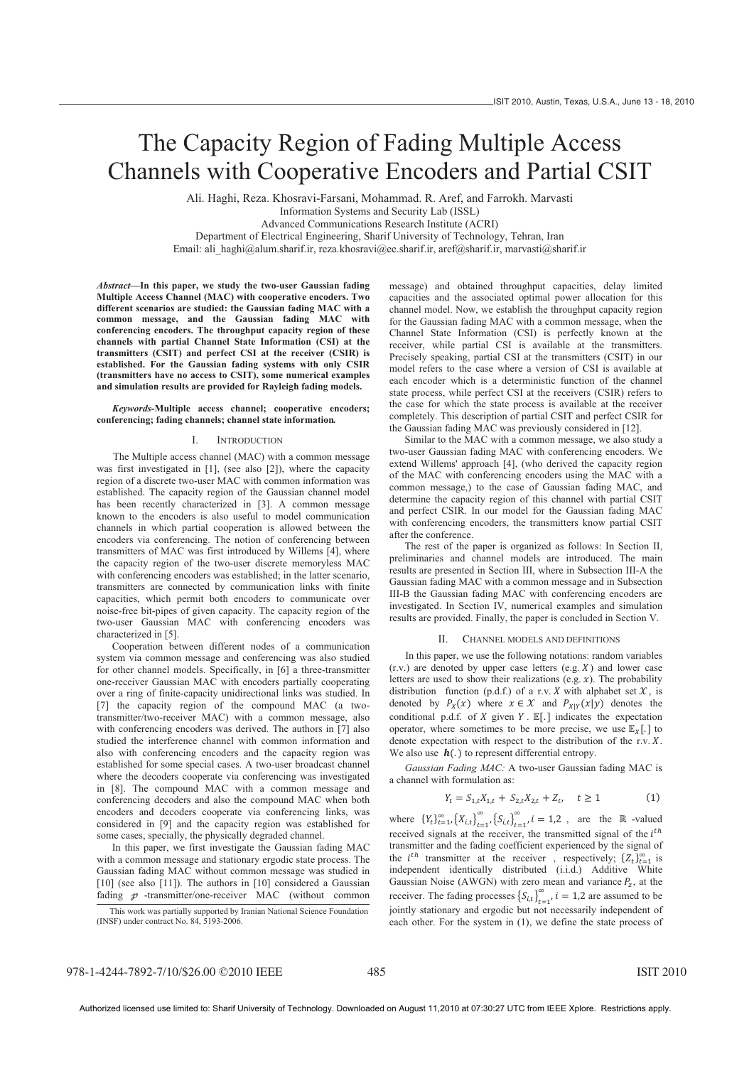# The Capacity Region of Fading Multiple Access Channels with Cooperative Encoders and Partial CSIT

Ali. Haghi, Reza. Khosravi-Farsani, Mohammad. R. Aref, and Farrokh. Marvasti Information Systems and Security Lab (ISSL) Advanced Communications Research Institute (ACRI) Department of Electrical Engineering, Sharif University of Technology, Tehran, Iran Email: ali\_haghi@alum.sharif.ir, reza.khosravi@ee.sharif.ir, aref@sharif.ir, marvasti@sharif.ir

*Abstract***—In this paper, we study the two-user Gaussian fading Multiple Access Channel (MAC) with cooperative encoders. Two different scenarios are studied: the Gaussian fading MAC with a common message, and the Gaussian fading MAC with conferencing encoders. The throughput capacity region of these channels with partial Channel State Information (CSI) at the transmitters (CSIT) and perfect CSI at the receiver (CSIR) is established. For the Gaussian fading systems with only CSIR (transmitters have no access to CSIT), some numerical examples and simulation results are provided for Rayleigh fading models.** 

*Keywords-***Multiple access channel; cooperative encoders; conferencing; fading channels; channel state information***.*

# I. INTRODUCTION

 The Multiple access channel (MAC) with a common message was first investigated in [1], (see also [2]), where the capacity region of a discrete two-user MAC with common information was established. The capacity region of the Gaussian channel model has been recently characterized in [3]. A common message known to the encoders is also useful to model communication channels in which partial cooperation is allowed between the encoders via conferencing. The notion of conferencing between transmitters of MAC was first introduced by Willems [4], where the capacity region of the two-user discrete memoryless MAC with conferencing encoders was established; in the latter scenario, transmitters are connected by communication links with finite capacities, which permit both encoders to communicate over noise-free bit-pipes of given capacity. The capacity region of the two-user Gaussian MAC with conferencing encoders was characterized in [5].

 Cooperation between different nodes of a communication system via common message and conferencing was also studied for other channel models. Specifically, in [6] a three-transmitter one-receiver Gaussian MAC with encoders partially cooperating over a ring of finite-capacity unidirectional links was studied. In [7] the capacity region of the compound MAC (a twotransmitter/two-receiver MAC) with a common message, also with conferencing encoders was derived. The authors in [7] also studied the interference channel with common information and also with conferencing encoders and the capacity region was established for some special cases. A two-user broadcast channel where the decoders cooperate via conferencing was investigated in [8]. The compound MAC with a common message and conferencing decoders and also the compound MAC when both encoders and decoders cooperate via conferencing links, was considered in [9] and the capacity region was established for some cases, specially, the physically degraded channel.

 In this paper, we first investigate the Gaussian fading MAC with a common message and stationary ergodic state process. The Gaussian fading MAC without common message was studied in [10] (see also [11]). The authors in [10] considered a Gaussian  $fading \phi$  -transmitter/one-receiver MAC (without common

 This work was partially supported by Iranian National Science Foundation (INSF) under contract No. 84, 5193-2006.

message) and obtained throughput capacities, delay limited capacities and the associated optimal power allocation for this channel model. Now, we establish the throughput capacity region for the Gaussian fading MAC with a common message, when the Channel State Information (CSI) is perfectly known at the receiver, while partial CSI is available at the transmitters. Precisely speaking, partial CSI at the transmitters (CSIT) in our model refers to the case where a version of CSI is available at each encoder which is a deterministic function of the channel state process, while perfect CSI at the receivers (CSIR) refers to the case for which the state process is available at the receiver completely. This description of partial CSIT and perfect CSIR for the Gaussian fading MAC was previously considered in [12].

 Similar to the MAC with a common message, we also study a two-user Gaussian fading MAC with conferencing encoders. We extend Willems' approach [4], (who derived the capacity region of the MAC with conferencing encoders using the MAC with a common message,) to the case of Gaussian fading MAC, and determine the capacity region of this channel with partial CSIT and perfect CSIR. In our model for the Gaussian fading MAC with conferencing encoders, the transmitters know partial CSIT after the conference.

 The rest of the paper is organized as follows: In Section II, preliminaries and channel models are introduced. The main results are presented in Section III, where in Subsection III-A the Gaussian fading MAC with a common message and in Subsection III-B the Gaussian fading MAC with conferencing encoders are investigated. In Section IV, numerical examples and simulation results are provided. Finally, the paper is concluded in Section V.

### CHANNEL MODELS AND DEFINITIONS

In this paper, we use the following notations: random variables  $(r.v.)$  are denoted by upper case letters  $(e.g. X)$  and lower case letters are used to show their realizations (e.g.  $x$ ). The probability distribution function (p.d.f.) of a r.v. X with alphabet set  $X$ , is denoted by  $P_X(x)$  where  $x \in \mathcal{X}$  and  $P_{X|Y}(x|y)$  denotes the conditional p.d.f. of  $X$  given  $Y$ .  $E[.]$  indicates the expectation operator, where sometimes to be more precise, we use  $E_{\nu}$ . to denote expectation with respect to the distribution of the r.v.  $X$ . We also use  $h(.)$  to represent differential entropy.

 *Gaussian Fading MAC:* A two-user Gaussian fading MAC is a channel with formulation as:

$$
Y_t = S_{1,t} X_{1,t} + S_{2,t} X_{2,t} + Z_t, \quad t \ge 1
$$
 (1)

where  $\{Y_t\}_{t=1}^{\infty}, \{X_{i,t}\}_{t=1}^{\infty}, \{S_{i,t}\}_{t=1}^{\infty}, i = 1,2$ , are the  $\mathbb{R}$ -valued received signals at the receiver, the transmitted signal of the  $i^{th}$ transmitter and the fading coefficient experienced by the signal of the  $i^{th}$  transmitter at the receiver , respectively;  $\{Z_t\}_{t=1}^{\infty}$  is independent identically distributed (i.i.d.) Additive White Gaussian Noise (AWGN) with zero mean and variance  $P_z$ , at the receiver. The fading processes  $\left\{S_{i,t}\right\}_{t=1}^{\infty}$ ,  $i = 1,2$  are assumed to be jointly stationary and ergodic but not necessarily independent of each other. For the system in (1), we define the state process of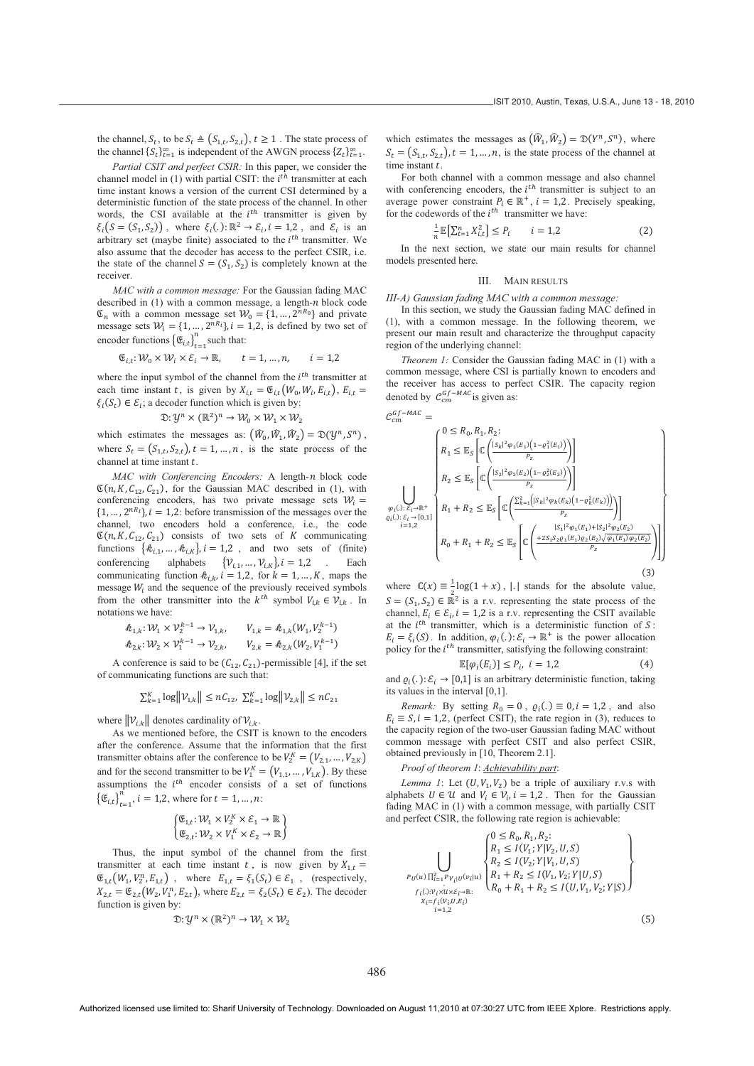the channel,  $S_t$ , to be  $S_t \triangleq (S_{1,t}, S_{2,t})$ ,  $t \geq 1$ . The state process of the channel  $\{S_t\}_{t=1}^{\infty}$  is independent of the AWGN process  $\{Z_t\}_{t=1}^{\infty}$ .

 *Partial CSIT and perfect CSIR:* In this paper, we consider the channel model in  $(1)$  with partial CSIT: the  $i<sup>th</sup>$  transmitter at each time instant knows a version of the current CSI determined by a deterministic function of the state process of the channel. In other words, the CSI available at the  $i<sup>th</sup>$  transmitter is given by  $\xi_i(S = (S_1, S_2))$ , where  $\xi_i(.)$ :  $\mathbb{R}^2 \to \mathcal{E}_i$ ,  $i = 1, 2$ , and  $\mathcal{E}_i$  is an arbitrary set (maybe finite) associated to the  $i<sup>th</sup>$  transmitter. We also assume that the decoder has access to the perfect CSIR, i.e. the state of the channel  $S = (S_1, S_2)$  is completely known at the receiver.

 *MAC with a common message:* For the Gaussian fading MAC described in  $(1)$  with a common message, a length- $n$  block code  $\mathfrak{C}_n$  with a common message set  $\mathcal{W}_0 = \{1, ..., 2^{nR_0}\}\$  and private message sets  $W_i = \{1, ..., 2^{nR_i}\}, i = 1, 2$ , is defined by two set of encoder functions  $\left\{ \mathfrak{E}_{i,t} \right\}_{t=1}^{n}$  such that:

$$
\mathfrak{E}_{i,t}: \mathcal{W}_0 \times \mathcal{W}_i \times \mathcal{E}_i \to \mathbb{R}, \qquad t = 1, \dots, n, \qquad i = 1, 2
$$

where the input symbol of the channel from the  $i<sup>th</sup>$  transmitter at each time instant t, is given by  $X_{i,t} = \mathfrak{E}_{i,t}(W_0, W_i, E_{i,t})$ ,  $E_{i,t}$  $\xi_i(S_t) \in \mathcal{E}_i$ ; a decoder function which is given by:

$$
\mathfrak{D}: \mathcal{Y}^n \times (\mathbb{R}^2)^n \to \mathcal{W}_0 \times \mathcal{W}_1 \times \mathcal{W}_2
$$

which estimates the messages as:  $(\widehat{W}_0, \widehat{W}_1, \widehat{W}_2) = \mathfrak{D}(W^n, S^n)$ , where  $S_t = (S_{1,t}, S_{2,t})$ ,  $t = 1, ..., n$ , is the state process of the channel at time instant  $t$ .

*MAC with Conferencing Encoders:* A length-n block code  $\mathfrak{C}(n, K, C_{12}, C_{21})$ , for the Gaussian MAC described in (1), with conferencing encoders, has two private message sets  $W_i =$  $\{1, \ldots, 2^{nR_i}\}\$ ,  $i = 1.2$ : before transmission of the messages over the channel, two encoders hold a conference, i.e., the code  $\mathfrak{C}(n, K, C_{12}, C_{21})$  consists of two sets of K communicating functions  $\{k_{i,1}, ..., k_{i,k}\}\$ ,  $i = 1,2$ , and two sets of (finite)<br>conferencing alphabets  $\{V_{i,1}, ..., V_{i,k}\}\$ ,  $i = 1,2$ . Each conferencing alphabets  $\{\mathcal{V}_{i,1}, \dots, \mathcal{V}_{i,K}\}, i = 1,2$ communicating function  $k_{i,k}$ ,  $i = 1, 2$ , for  $k = 1, ..., K$ , maps the message  $W_i$  and the sequence of the previously received symbols from the other transmitter into the  $k^{th}$  symbol  $V_{i,k} \in \mathcal{V}_{i,k}$ . In notations we have:

$$
R_{1,k}: W_1 \times V_2^{k-1} \to V_{1,k}, \qquad V_{1,k} = R_{1,k}(W_1, V_2^{k-1})
$$
  

$$
R_{2,k}: W_2 \times V_1^{k-1} \to V_{2,k}, \qquad V_{2,k} = R_{2,k}(W_2, V_1^{k-1})
$$

A conference is said to be  $(C_{12}, C_{21})$ -permissible [4], if the set of communicating functions are such that:

$$
\sum_{k=1}^{K} \log \|\mathcal{V}_{1,k}\| \le nC_{12}, \ \sum_{k=1}^{K} \log \|\mathcal{V}_{2,k}\| \le nC_{21}
$$

where  $\|\mathcal{V}_{i,k}\|$  denotes cardinality of  $\mathcal{V}_{i,k}$ .

 As we mentioned before, the CSIT is known to the encoders after the conference. Assume that the information that the first transmitter obtains after the conference to be  $V_2^K = (V_{2,1}, ..., V_{2,K})$ and for the second transmitter to be  $V_1^K = (V_{1,1}, \dots, V_{1,K})$ . By these assumptions the  $i<sup>th</sup>$  encoder consists of a set of functions  ${\left\{\mathfrak{E}_{i,t}\right\}_{t=1}^{n}, i = 1,2, \text{ where for } t = 1, ..., n:}$ 

$$
\begin{cases} \mathfrak{E}_{1,t} \colon \mathcal{W}_1 \times V_2^K \times \mathcal{E}_1 \to \mathbb{R} \\ \mathfrak{E}_{2,t} \colon \mathcal{W}_2 \times V_1^K \times \mathcal{E}_2 \to \mathbb{R} \end{cases}
$$

 Thus, the input symbol of the channel from the first transmitter at each time instant t, is now given by  $X_{1,t}$  =  $\mathfrak{E}_{1,t}(W_1, V_2^n, E_{1,t})$ , where  $E_{1,t} = \xi_1(S_t) \in \mathcal{E}_1$ , (respectively,  $X_{2,t} = \mathfrak{E}_{2,t}(W_2, V_1^n, E_{2,t})$ , where  $E_{2,t} = \xi_2(S_t) \in \mathcal{E}_2$ . The decoder function is given by:

$$
\mathfrak{D}: \mathcal{Y}^n \times (\mathbb{R}^2)^n \to \mathcal{W}_1 \times \mathcal{W}_2
$$

which estimates the messages as  $(\widehat{W}_1, \widehat{W}_2) = \mathfrak{D}(Y^n, S^n)$ , where  $S_t = (S_{1,t}, S_{2,t})$ ,  $t = 1, ..., n$ , is the state process of the channel at time instant  $t$ .

 For both channel with a common message and also channel with conferencing encoders, the  $i<sup>th</sup>$  transmitter is subject to an average power constraint  $P_i \in \mathbb{R}^+, i = 1,2$ . Precisely speaking, for the codewords of the  $i<sup>th</sup>$  transmitter we have:

$$
\frac{1}{n}\mathbb{E}\left[\sum_{t=1}^{n}X_{i,t}^{2}\right] \le P_{i} \qquad i=1,2\tag{2}
$$

 In the next section, we state our main results for channel models presented here.

### III. MAIN RESULTS

*III-A) Gaussian fading MAC with a common message:* 

 In this section, we study the Gaussian fading MAC defined in (1), with a common message. In the following theorem, we present our main result and characterize the throughput capacity region of the underlying channel:

 *Theorem 1:* Consider the Gaussian fading MAC in (1) with a common message, where CSI is partially known to encoders and the receiver has access to perfect CSIR. The capacity region denoted by  $C_{cm}^{UJ-MAC}$  is given as:

$$
\mathcal{C}_{cm}^{Gf-MAC}=
$$

$$
\left\{\n\begin{aligned}\n & \left\{\n\begin{aligned}\n & \left( \sum_{k=1}^{n} \mathbb{E}_{S} \left[ \mathbb{C} \left( \frac{|S_{k}|^{2} \varphi_{1}(E_{1}) \left( 1 - \varrho_{1}^{2}(E_{1}) \right)}{P_{z}} \right) \right] \\
& \left\{\n\begin{aligned}\n & \sum_{k=1}^{n} \mathbb{E}_{S} \left[ \mathbb{C} \left( \frac{|S_{2}|^{2} \varphi_{2}(E_{2}) \left( 1 - \varrho_{2}^{2}(E_{2}) \right)}{P_{z}} \right) \right] \\
& \left\{\n\begin{aligned}\n & \sum_{k=1}^{n} \mathbb{E}_{S} \left[ \mathbb{C} \left( \frac{|S_{k}|^{2} \varphi_{2}(E_{2}) \left( 1 - \varrho_{2}^{2}(E_{2}) \right)}{P_{z}} \right) \right] \\
& \left\{\n\begin{aligned}\n & \sum_{k=1}^{n} \mathbb{E}_{S} \left[ \mathbb{C} \left( \frac{\sum_{k=1}^{2} \left( |S_{k}|^{2} \varphi_{k}(E_{k}) \left( 1 - \varrho_{k}^{2}(E_{k}) \right) \right)}{P_{z}} \right) \right] \\
& \left\{\n\begin{aligned}\n & \sum_{k=1,2}^{n} \mathbb{E}_{S} \left[ \mathbb{C} \left( \frac{|S_{1}|^{2} \varphi_{1}(E_{1}) + |S_{2}|^{2} \varphi_{2}(E_{2})}{P_{z}} \right) \right] \\
& \left\{\n\begin{aligned}\n & \sum_{k=1,2}^{n} \mathbb{E}_{S} \left[ \mathbb{C} \left( \frac{|S_{k}|^{2} \varphi_{1}(E_{1}) \varrho_{2}(E_{2}) \sqrt{\varphi_{1}(E_{1}) \varrho_{2}(E_{2})}}{P_{z}} \right) \right] \right]\n \end{aligned}\n\end{aligned}\n\end{aligned}\n\right\}
$$

where  $\mathbb{C}(x) \equiv \frac{1}{2} \log(1+x)$ , | | stands for the absolute value,  $S = (S_1, S_2) \in \mathbb{R}^2$  is a r.v. representing the state process of the channel,  $E_i \in \mathcal{E}_i$ ,  $i = 1,2$  is a r.v. representing the CSIT available at the  $i^{th}$  transmitter, which is a deterministic function of S:  $E_i = \xi_i(S)$ . In addition,  $\varphi_i(.)$ :  $\mathcal{E}_i \to \mathbb{R}^+$  is the power allocation policy for the  $i<sup>th</sup>$  transmitter, satisfying the following constraint:

$$
\mathbb{E}[\varphi_i(E_i)] \le P_i, \ i = 1,2 \tag{4}
$$

and  $\varrho_i(.)$ :  $\mathcal{E}_i \rightarrow [0,1]$  is an arbitrary deterministic function, taking its values in the interval [0,1].

*Remark:* By setting  $R_0 = 0$ ,  $\varrho_i(.) \equiv 0, i = 1, 2$ , and also  $E_i \equiv S, i = 1,2$ , (perfect CSIT), the rate region in (3), reduces to the capacity region of the two-user Gaussian fading MAC without common message with perfect CSIT and also perfect CSIR, obtained previously in [10, Theorem 2.1].

## *Proof of theorem 1*: *Achievability part*:

*Lemma 1*: Let  $(U, V_1, V_2)$  be a triple of auxiliary r.v.s with alphabets  $U \in \mathcal{U}$  and  $V_i \in \mathcal{V}_i$ ,  $i = 1, 2$ . Then for the Gaussian fading MAC in (1) with a common message, with partially CSIT and perfect CSIR, the following rate region is achievable:

$$
\bigcup_{P_U(u) \prod_{i=1}^2 P_{V_i|U}(v_i|u)} \begin{Bmatrix} 0 \le R_0, R_1, R_2: \\ R_1 \le I(V_1; Y|V_2, U, S) \\ R_2 \le I(V_2; Y|V_1, U, S) \\ R_1 + R_2 \le I(V_1, V_2; Y|U, S) \\ R_1 + R_2 \le I(V_1, V_2; Y|U, S) \\ R_0 + R_1 + R_2 \le I(U, V_1, V_2; Y|S) \end{Bmatrix} \bigg\} \tag{5}
$$

486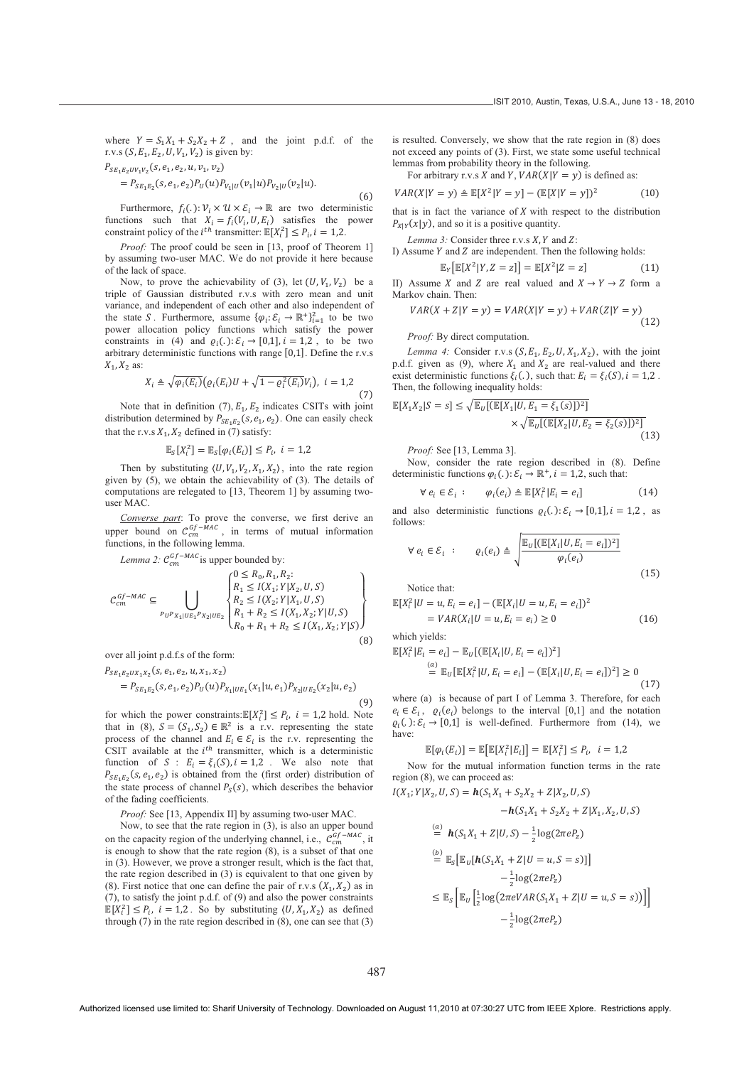where  $Y = S_1 X_1 + S_2 X_2 + Z$ , and the joint p.d.f. of the r.v.s  $(S, E_1, E_2, U, V_1, V_2)$  is given by:

$$
P_{SE_1E_2UV_1V_2}(s, e_1, e_2, u, v_1, v_2)
$$

$$
= P_{SE_1E_2}(s, e_1, e_2) P_U(u) P_{V_1|U}(v_1|u) P_{V_2|U}(v_2|u).
$$

Furthermore,  $f_i(.) : \mathcal{V}_i \times \mathcal{U} \times \mathcal{E}_i \rightarrow \mathbb{R}$  are two deterministic functions such that  $X_i = f_i(V_i, U, E_i)$  satisfies the power constraint policy of the *i*<sup>th</sup> transmitter:  $\mathbb{E}[X_i^2] \le P_i$ , *i* = 1,2.

*Proof:* The proof could be seen in [13, proof of Theorem 1] by assuming two-user MAC. We do not provide it here because of the lack of space.

Now, to prove the achievability of (3), let  $(U, V_1, V_2)$  be a triple of Gaussian distributed r.v.s with zero mean and unit variance, and independent of each other and also independent of the state *S*. Furthermore, assume  $\{\varphi_i : \mathcal{E}_i \to \mathbb{R}^+\}_{i=1}^2$  to be two power allocation policy functions which satisfy the power constraints in (4) and  $\rho_i(.)$ :  $\varepsilon_i \rightarrow [0,1], i = 1,2$ , to be two arbitrary deterministic functions with range  $[0,1]$ . Define the r.v.s  $X_1, X_2$  as:

$$
X_i \triangleq \sqrt{\varphi_i(E_i)} \big( \varrho_i(E_i) U + \sqrt{1 - \varrho_i^2(E_i)} V_i \big), \ i = 1, 2
$$
\n(7)

Note that in definition (7),  $E_1$ ,  $E_2$  indicates CSITs with joint distribution determined by  $P_{SE_1E_2}(s, e_1, e_2)$ . One can easily check that the r.v.s  $X_1$ ,  $X_2$  defined in (7) satisfy:

$$
\mathbb{E}_S[X_i^2] = \mathbb{E}_S[\varphi_i(E_i)] \le P_i, \ i = 1,2
$$

Then by substituting  $\langle U, V_1, V_2, X_1, X_2 \rangle$ , into the rate region given by  $(5)$ , we obtain the achievability of  $(3)$ . The details of computations are relegated to [13, Theorem 1] by assuming twouser MAC.

 *Converse part*: To prove the converse, we first derive an upper bound on  $\mathcal{C}_{cm}^{U_J - mAC}$ , in terms of mutual information functions, in the following lemma.

Lemma 2: 
$$
C_{cm}^{Gf-MAC}
$$
 is upper bounded by:  
\n
$$
C_{cm}^{Gf-MAC} \subseteq \bigcup_{P_U P_{X_1|UE_1} P_{X_2|UE_2}} \left\{ \begin{aligned} 0 &\le R_0, R_1, R_2: \\ R_1 &\le I(X_1; Y | X_2, U, S) \\ R_2 &\le I(X_2; Y | X_1, U, S) \\ R_1 + R_2 &\le I(X_1, X_2; Y | U, S) \\ R_0 + R_1 + R_2 &\le I(X_1, X_2; Y | S) \end{aligned} \right\}
$$
\n(8)

over all joint p.d.f.s of the form:

$$
P_{SE_1E_2UX_1X_2}(s, e_1, e_2, u, x_1, x_2)
$$
  
=  $P_{SE_1E_2}(s, e_1, e_2)P_U(u)P_{X_1|UE_1}(x_1|u, e_1)P_{X_2|UE_2}(x_2|u, e_2)$ 

for which the power constraints:  $\mathbb{E}[X_i^2] \le P_i$ ,  $i = 1,2$  hold. Note that in (8),  $S = (S_1, S_2) \in \mathbb{R}^2$  is a r.v. representing the state process of the channel and  $E_i \in \mathcal{E}_i$  is the r.v. representing the CSIT available at the  $i<sup>th</sup>$  transmitter, which is a deterministic function of  $S : E_i = \xi_i(S), i = 1,2$ . We also note that  $P_{SE_1E_2}(s, e_1, e_2)$  is obtained from the (first order) distribution of the state process of channel  $P<sub>S</sub>(s)$ , which describes the behavior of the fading coefficients.

*Proof:* See [13, Appendix II] by assuming two-user MAC.

 Now, to see that the rate region in (3), is also an upper bound on the capacity region of the underlying channel, i.e.,  $C_{cm}^{C_J-mAC}$ , it is enough to show that the rate region (8), is a subset of that one in (3). However, we prove a stronger result, which is the fact that, the rate region described in (3) is equivalent to that one given by (8). First notice that one can define the pair of r.v.s  $(X_1, X_2)$  as in (7), to satisfy the joint p.d.f. of (9) and also the power constraints  $\mathbb{E}[X_i^2] \le P_i$ ,  $i = 1,2$ . So by substituting  $\langle U, X_1, X_2 \rangle$  as defined through  $(7)$  in the rate region described in  $(8)$ , one can see that  $(3)$  is resulted. Conversely, we show that the rate region in (8) does not exceed any points of (3). First, we state some useful technical lemmas from probability theory in the following.

For arbitrary r.v.s X and Y,  $VAR(X|Y = y)$  is defined as:

$$
VAR(X|Y = y) \triangleq \mathbb{E}[X^2|Y = y] - (\mathbb{E}[X|Y = y])^2
$$
 (10)

that is in fact the variance of  $X$  with respect to the distribution  $P_{X|Y}(x|y)$ , and so it is a positive quantity.

*Lemma 3:* Consider three r.v.s  $X, Y$  and  $Z$ :

I) Assume  $Y$  and  $Z$  are independent. Then the following holds:

$$
\mathbb{E}_Y\big[\mathbb{E}[X^2|Y,Z=z]\big] = \mathbb{E}[X^2|Z=z]\tag{11}
$$

II) Assume X and Z are real valued and  $X \rightarrow Y \rightarrow Z$  form a Markov chain. Then:

$$
VAR(X + Z|Y = y) = VAR(X|Y = y) + VAR(Z|Y = y)
$$
\n(12)

 *Proof:* By direct computation.

 $(6)$ 

*Lemma 4:* Consider r.v.s  $(S, E_1, E_2, U, X_1, X_2)$ , with the joint p.d.f. given as (9), where  $X_1$  and  $X_2$  are real-valued and there exist deterministic functions  $\xi_i(.)$ , such that:  $E_i = \xi_i(S)$ ,  $i = 1,2$ . Then, the following inequality holds:

$$
\mathbb{E}[X_1 X_2 | S = s] \le \sqrt{\mathbb{E}_U[ (\mathbb{E}[X_1 | U, E_1 = \xi_1(s)])^2]} \times \sqrt{\mathbb{E}_U[ (\mathbb{E}[X_2 | U, E_2 = \xi_2(s)])^2]}
$$
(13)

*Proof:* See [13, Lemma 3].

 Now, consider the rate region described in (8). Define deterministic functions  $\varphi_i(.)$ :  $\mathcal{E}_i \to \mathbb{R}^+, i = 1,2$ , such that:

$$
\forall e_i \in \mathcal{E}_i : \qquad \varphi_i(e_i) \triangleq \mathbb{E}[X_i^2 | E_i = e_i]
$$
 (14)

and also deterministic functions  $\varrho_i(.) : \mathcal{E}_i \to [0,1], i = 1,2$ , as follows:

$$
\forall e_i \in \mathcal{E}_i : \qquad \varrho_i(e_i) \triangleq \sqrt{\frac{\mathbb{E}_U[(\mathbb{E}[X_i|U, E_i = e_i])^2]}{\varphi_i(e_i)}}
$$
\n(15)

Notice that:

$$
\mathbb{E}[X_i^2 | U = u, E_i = e_i] - (\mathbb{E}[X_i | U = u, E_i = e_i])^2
$$
  
=  $VAR(X_i | U = u, E_i = e_i) \ge 0$  (16)

which yields:

$$
\mathbb{E}[X_i^2 | E_i = e_i] - \mathbb{E}_U[(\mathbb{E}[X_i | U, E_i = e_i])^2] \n \stackrel{(a)}{=} \mathbb{E}_U[\mathbb{E}[X_i^2 | U, E_i = e_i] - (\mathbb{E}[X_i | U, E_i = e_i])^2] \ge 0
$$
\n(17)

where (a) is because of part I of Lemma 3. Therefore, for each  $e_i \in \varepsilon_i$ ,  $\varrho_i(e_i)$  belongs to the interval [0,1] and the notation  $\varrho_i(.) : \varepsilon_i \to [0,1]$  is well-defined. Furthermore from (14), we  $e_i \in \mathcal{E}_i$ ,  $\varrho_i(e_i)$  belongs to the interval [0,1] and the notation have:

$$
\mathbb{E}[\varphi_i(E_i)] = \mathbb{E}[\mathbb{E}[X_i^2|E_i]] = \mathbb{E}[X_i^2] \le P_i, \quad i = 1,2
$$

 Now for the mutual information function terms in the rate region (8), we can proceed as:

$$
I(X_1; Y|X_2, U, S) = \mathbf{h}(S_1X_1 + S_2X_2 + Z|X_2, U, S)
$$
  
\n
$$
-\mathbf{h}(S_1X_1 + S_2X_2 + Z|X_1, X_2, U, S)
$$
  
\n
$$
\stackrel{(a)}{=} \mathbf{h}(S_1X_1 + Z|U, S) - \frac{1}{2}\log(2\pi e P_Z)
$$
  
\n
$$
\stackrel{(b)}{=} \mathbb{E}_S[\mathbb{E}_U[\mathbf{h}(S_1X_1 + Z|U = u, S = s)]] - \frac{1}{2}\log(2\pi e P_Z)
$$
  
\n
$$
\leq \mathbb{E}_S[\mathbb{E}_U\left[\frac{1}{2}\log(2\pi e VAR(S_1X_1 + Z|U = u, S = s))]\right] - \frac{1}{2}\log(2\pi e P_Z)
$$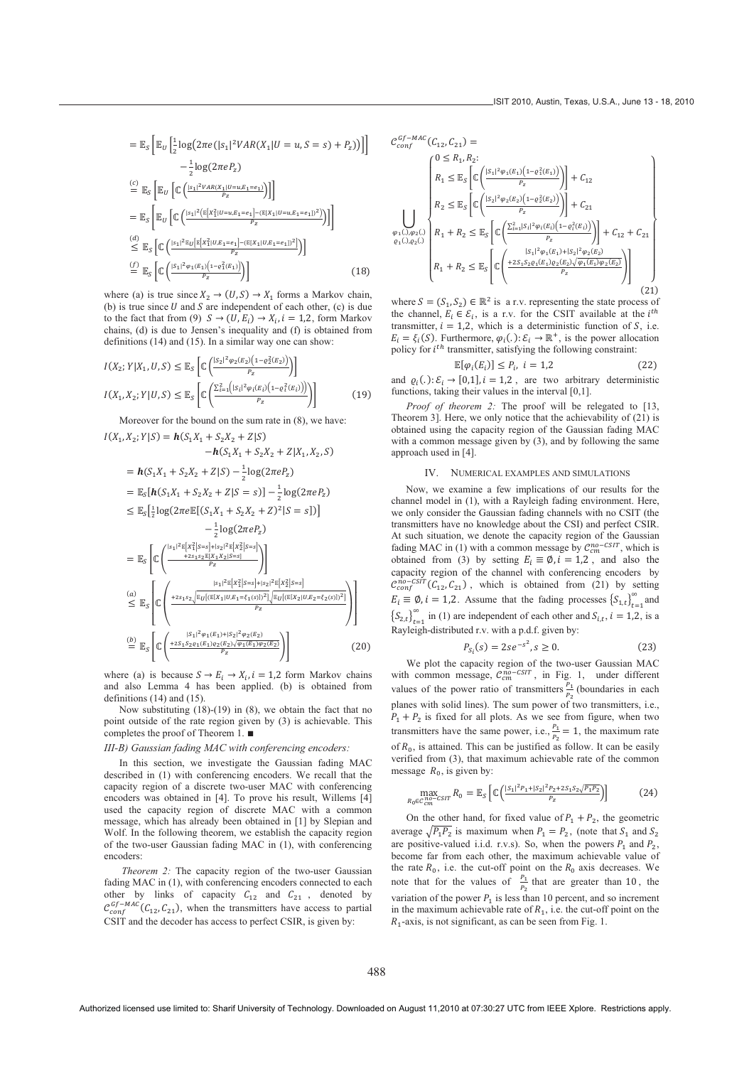$$
= \mathbb{E}_{S} \left[ \mathbb{E}_{U} \left[ \frac{1}{2} \log \left( 2\pi e \left( |s_{1}|^{2} VAR(X_{1}|U=u, S=s) + P_{z} \right) \right) \right] \right] \n- \frac{1}{2} \log \left( 2\pi e P_{z} \right) \n\overset{(c)}{=} \mathbb{E}_{S} \left[ \mathbb{E}_{U} \left[ \mathbb{C} \left( \frac{|s_{1}|^{2} VAR(X_{1}|U=u, E_{1}=e_{1})}{P_{z}} \right) \right] \right] \n= \mathbb{E}_{S} \left[ \mathbb{E}_{U} \left[ \mathbb{C} \left( \frac{|s_{1}|^{2} \left( \mathbb{E} \left[ X_{1}^{2}|U=u, E_{1}=e_{1} \right] - \left( \mathbb{E} \left[ X_{1}|U=u, E_{1}=e_{1} \right] \right)^{2}}{P_{z}} \right) \right] \right] \n\overset{(d)}{\leq} \mathbb{E}_{S} \left[ \mathbb{C} \left( \frac{|s_{1}|^{2} \mathbb{E} \left[ \mathbb{E} \left[ X_{1}^{2}|U,E_{1}=e_{1} \right] - \left( \mathbb{E} \left[ X_{1}|U,E_{1}=e_{1} \right] \right)^{2}} \right] \right) \right] \n\overset{(f)}{=} \mathbb{E}_{S} \left[ \mathbb{C} \left( \frac{|S_{1}|^{2} \varphi_{1}(E_{1}) \left( 1 - e_{1}^{2}(E_{1}) \right)}{P_{z}} \right) \right] \tag{18}
$$

where (a) is true since  $X_2 \to (U, S) \to X_1$  forms a Markov chain, (b) is true since  $U$  and  $S$  are independent of each other, (c) is due to the fact that from (9)  $S \rightarrow (U, E_i) \rightarrow X_i$ ,  $i = 1,2$ , form Markov chains, (d) is due to Jensen's inequality and (f) is obtained from definitions  $(14)$  and  $(15)$ . In a similar way one can show:

$$
I(X_2; Y | X_1, U, S) \leq \mathbb{E}_S \left[ \mathbb{C} \left( \frac{|S_2|^2 \varphi_2(E_2)(1 - \varrho_2^2(E_2))}{P_Z} \right) \right]
$$
  

$$
I(X_1, X_2; Y | U, S) \leq \mathbb{E}_S \left[ \mathbb{C} \left( \frac{\sum_{i=1}^2 \left( |S_i|^2 \varphi_i(E_i)(1 - \varrho_1^2(E_i)) \right)}{P_Z} \right) \right]
$$
(19)

Moreover for the bound on the sum rate in  $(8)$ , we have:  $I(X_1, X_2; Y|S) = h(S_1X_1 + S_2X_2 + Z|S)$ 

$$
-h(S_1X_1 + S_2X_2 + Z|X_1, X_2, S)
$$
  
\n
$$
= h(S_1X_1 + S_2X_2 + Z|S) - \frac{1}{2}\log(2\pi e P_Z)
$$
  
\n
$$
= \mathbb{E}_S[h(S_1X_1 + S_2X_2 + Z|S = s)] - \frac{1}{2}\log(2\pi e P_Z)
$$
  
\n
$$
\leq \mathbb{E}_S[\frac{1}{2}\log(2\pi e \mathbb{E}[(S_1X_1 + S_2X_2 + Z)^2|S = s])]
$$
  
\n
$$
- \frac{1}{2}\log(2\pi e P_Z)
$$
  
\n
$$
= \mathbb{E}_S\left[\mathbb{C}\left(\frac{|s_1|^2 \mathbb{E}[X_1^2|S=s|+|s_2|^2 \mathbb{E}[X_2^2|S=s])}{+2s_1s_2\mathbb{E}[X_1X_2|S=s]}\right)\right]
$$
  
\n(a)  
\n
$$
\leq \mathbb{E}_S\left[\mathbb{C}\left(\frac{|s_1|^2 \mathbb{E}[X_1^2|S=s|+|s_2|^2 \mathbb{E}[X_2^2|S=s]}{P_Z}\right)\right]
$$
  
\n(b)  
\n
$$
\mathbb{E}_S\left[\mathbb{C}\left(\frac{+2s_1s_2\sqrt{\mathbb{E}[U[(\mathbb{E}[X_1|U E_1 = \xi_1(s)])^2]}\sqrt{\mathbb{E}[U[(\mathbb{E}[X_2|U E_2 = \xi_2(s)])^2]}}{P_Z}\right)\right]
$$
  
\n(b)  
\n
$$
\mathbb{E}_S\left[\mathbb{C}\left(\frac{|S_1|^2\varphi_1(E_1)+|S_2|^2\varphi_2(E_2)}{P_Z}\right)\right]
$$
  
\n(c)  
\n(d)  
\n(d)  
\n
$$
\mathbb{E}_S\left[\mathbb{C}\left(\frac{15_1|^2\varphi_1(E_1)+|S_2|^2\varphi_2(E_2)}{P_Z}\right)\right]
$$
  
\n(d)  
\n(20)

where (a) is because  $S \to E_i \to X_i$ ,  $i = 1,2$  form Markov chains and also Lemma 4 has been applied. (b) is obtained from definitions  $(14)$  and  $(15)$ .

Now substituting  $(18)-(19)$  in  $(8)$ , we obtain the fact that no point outside of the rate region given by (3) is achievable. This completes the proof of Theorem 1.  $\blacksquare$ 

## III-B) Gaussian fading MAC with conferencing encoders:

In this section, we investigate the Gaussian fading MAC described in (1) with conferencing encoders. We recall that the capacity region of a discrete two-user MAC with conferencing encoders was obtained in [4]. To prove his result, Willems [4] used the capacity region of discrete MAC with a common message, which has already been obtained in [1] by Slepian and Wolf. In the following theorem, we establish the capacity region of the two-user Gaussian fading MAC in (1), with conferencing encoders:

Theorem 2: The capacity region of the two-user Gaussian fading MAC in (1), with conferencing encoders connected to each other by links of capacity  $C_{12}$  and  $C_{21}$ , denoted by  $\mathcal{C}_{conf}^{Gf-MAC}(C_{12}, C_{21})$ , when the transmitters have access to partial CSIT and the decoder has access to perfect CSIR, is given by:

$$
C_{conf}^{i,j-mat}(C_{12}, C_{21}) = \begin{pmatrix} 0 \le R_1, R_2: \\ R_1 \le \mathbb{E}_S \left[ \mathbb{C} \left( \frac{|S_1|^2 \varphi_1(E_1)(1 - \varrho_1^2(E_1))}{P_2} \right) \right] + C_{12} \\ R_2 \le \mathbb{E}_S \left[ \mathbb{C} \left( \frac{|S_2|^2 \varphi_2(E_2)(1 - \varrho_2^2(E_2))}{P_2} \right) \right] + C_{21} \\ R_1 + R_2 \le \mathbb{E}_S \left[ \mathbb{C} \left( \frac{\sum_{i=1}^2 |S_i|^2 \varphi_i(E_i)(1 - \varrho_i^2(E_i))}{P_2} \right) \right] + C_{12} + C_{21} \\ R_1 + R_2 \le \mathbb{E}_S \left[ \mathbb{C} \left( \frac{|S_1|^2 \varphi_1(E_1) + |S_2|^2 \varphi_2(E_2)}{P_2} \right) \right] \\ R_1 + R_2 \le \mathbb{E}_S \left[ \mathbb{C} \left( \frac{|S_1|^2 \varphi_1(E_1) + |S_2|^2 \varphi_2(E_2)}{P_2} \right) \right] \end{pmatrix}
$$
(21)

where  $S = (S_1, S_2) \in \mathbb{R}^2$  is a r.v. representing the state process of the channel,  $E_i \in \mathcal{E}_i$ , is a r.v. for the CSIT available at the  $i^{th}$ transmitter,  $i = 1,2$ , which is a deterministic function of S, i.e.  $E_i = \xi_i(S)$ . Furthermore,  $\varphi_i(.)$ :  $\mathcal{E}_i \to \mathbb{R}^+$ , is the power allocation policy for  $i^{th}$  transmitter, satisfying the following constraint:

$$
\mathbb{E}[\varphi_i(E_i)] \le P_i, \ i = 1,2 \tag{22}
$$

and  $\varrho_i(.):\mathcal{E}_i\to [0,1], i=1,2$ , are two arbitrary deterministic functions, taking their values in the interval  $[0,1]$ .

Proof of theorem 2: The proof will be relegated to [13, Theorem 3]. Here, we only notice that the achievability of  $(21)$  is obtained using the capacity region of the Gaussian fading MAC with a common message given by (3), and by following the same approach used in [4].

# IV. NUMERICAL EXAMPLES AND SIMULATIONS

Now, we examine a few implications of our results for the channel model in (1), with a Rayleigh fading environment. Here, we only consider the Gaussian fading channels with no CSIT (the transmitters have no knowledge about the CSI) and perfect CSIR. At such situation, we denote the capacity region of the Gaussian fading MAC in (1) with a common message by  $C_{cm}^{no-CSIT}$ , which is obtained from (3) by setting  $E_i \equiv \emptyset$ ,  $i = 1, 2$ , and also the capacity region of the channel with conferencing encoders by  $\mathcal{C}_{conf}^{no-CSIT}(\mathcal{C}_{12}, \mathcal{C}_{21})$ , which is obtained from (21) by setting  $E_i \equiv \emptyset$ ,  $i = 1,2$ . Assume that the fading processes  $\left\{S_{1,t}\right\}_{t=1}^{\infty}$  and  $(S_{2,t})_{t=1}^{\infty}$  in (1) are independent of each other and  $S_{i,t}$ ,  $i = 1,2$ , is a Rayleigh-distributed r.v. with a p.d.f. given by:

$$
P_{S_i}(s) = 2se^{-s^2}, s \ge 0.
$$
 (23)

We plot the capacity region of the two-user Gaussian MAC we plot the capacity region of the two-user Gaussian MAC<br>with common message,  $C_{cm}^{no-CSIT}$ , in Fig. 1, under different<br>values of the power ratio of transmitters  $\frac{P_1}{P_2}$  (boundaries in each<br>planes with solid lines).  $P_1 + P_2$  is fixed for all plots. As we see from figure, when two transmitters have the same power, i.e.,  $\frac{p_1}{p_2} = 1$ , the maximum rate of  $R_0$ , is attained. This can be justified as follow. It can be easily verified from (3), that maximum achievable rate of the common message  $R_0$ , is given by:

$$
\max_{R_0 \in \mathcal{C}_{cm}^{an} \subset \mathcal{S} \mathcal{IT}} R_0 = \mathbb{E}_{S} \left[ \mathbb{C} \left( \frac{|S_1|^2 P_1 + |S_2|^2 P_2 + 2S_1 S_2 \sqrt{P_1 P_2}}{P_2} \right) \right]
$$
(24)

On the other hand, for fixed value of  $P_1 + P_2$ , the geometric average  $\sqrt{P_1P_2}$  is maximum when  $P_1 = P_2$ , (note that  $S_1$  and  $S_2$ ) are positive-valued i.i.d. r.v.s). So, when the powers  $P_1$  and  $P_2$ , become far from each other, the maximum achievable value of the rate  $R_0$ , i.e. the cut-off point on the  $R_0$  axis decreases. We note that for the values of  $\frac{P_1}{P_2}$  that are greater than 10, the variation of the power  $P_1$  is less than 10 percent, and so increment in the maximum achievable rate of  $R_1$ , i.e. the cut-off point on the  $R_1$ -axis, is not significant, as can be seen from Fig. 1.